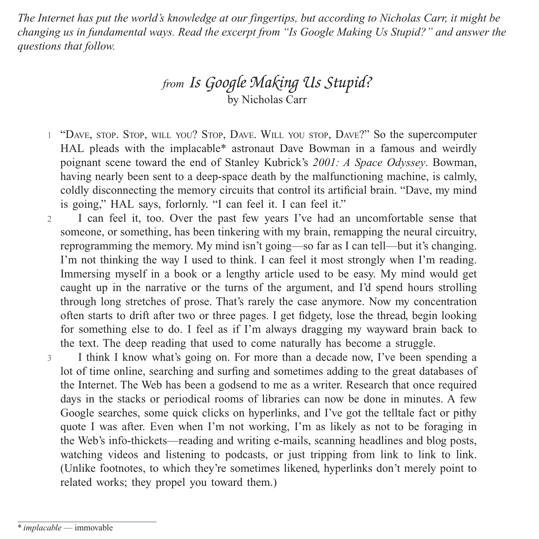*The Internet has put the world's knowledge at our fingertips, but according to Nicholas Carr, it might be changing us in fundamental ways. Read the excerpt from "Is Google Making Us Stupid?" and answer the questions that follow.*

## *from Is Google Making Us Stupid?* by Nicholas Carr

- 1 "Dave, stop. stop, will you? stop, Dave. will you stop, Dave?" So the supercomputer HAL pleads with the implacable\* astronaut Dave Bowman in a famous and weirdly poignant scene toward the end of Stanley Kubrick's *2001: A Space Odyssey*. Bowman, having nearly been sent to a deep-space death by the malfunctioning machine, is calmly, coldly disconnecting the memory circuits that control its artificial brain. "Dave, my mind is going," HAL says, forlornly. "I can feel it. I can feel it."
- 2 I can feel it, too. Over the past few years I've had an uncomfortable sense that someone, or something, has been tinkering with my brain, remapping the neural circuitry, reprogramming the memory. My mind isn't going—so far as I can tell—but it's changing. I'm not thinking the way I used to think. I can feel it most strongly when I'm reading. Immersing myself in a book or a lengthy article used to be easy. My mind would get caught up in the narrative or the turns of the argument, and I'd spend hours strolling through long stretches of prose. That's rarely the case anymore. Now my concentration often starts to drift after two or three pages. I get fidgety, lose the thread, begin looking for something else to do. I feel as if I'm always dragging my wayward brain back to the text. The deep reading that used to come naturally has become a struggle.

3 I think I know what's going on. For more than a decade now, I've been spending a lot of time online, searching and surfing and sometimes adding to the great databases of the Internet. The Web has been a godsend to me as a writer. Research that once required days in the stacks or periodical rooms of libraries can now be done in minutes. A few Google searches, some quick clicks on hyperlinks, and I've got the telltale fact or pithy quote I was after. Even when I'm not working, I'm as likely as not to be foraging in the Web's info-thickets—reading and writing e-mails, scanning headlines and blog posts, watching videos and listening to podcasts, or just tripping from link to link to link. (Unlike footnotes, to which they're sometimes likened, hyperlinks don't merely point to related works; they propel you toward them.)

<sup>\*</sup> *implacable* — immovable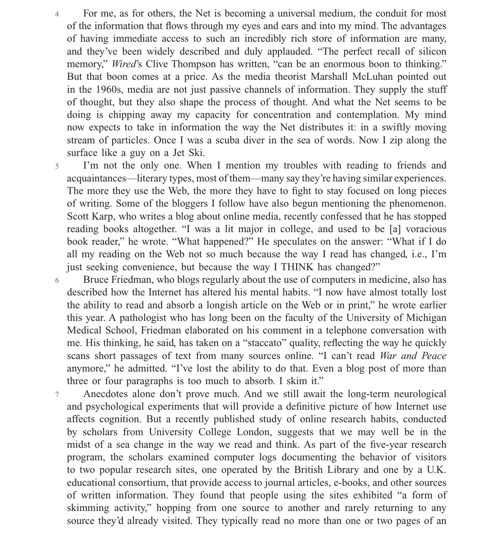4 For me, as for others, the Net is becoming a universal medium, the conduit for most of the information that flows through my eyes and ears and into my mind. The advantages of having immediate access to such an incredibly rich store of information are many, and they've been widely described and duly applauded. "The perfect recall of silicon memory," *Wired*'s Clive Thompson has written, "can be an enormous boon to thinking." But that boon comes at a price. As the media theorist Marshall McLuhan pointed out in the 1960s, media are not just passive channels of information. They supply the stuff of thought, but they also shape the process of thought. And what the Net seems to be doing is chipping away my capacity for concentration and contemplation. My mind now expects to take in information the way the Net distributes it: in a swiftly moving stream of particles. Once I was a scuba diver in the sea of words. Now I zip along the surface like a guy on a Jet Ski.

5 I'm not the only one. When I mention my troubles with reading to friends and acquaintances—literary types, most of them—many say they're having similar experiences. The more they use the Web, the more they have to fight to stay focused on long pieces of writing. Some of the bloggers I follow have also begun mentioning the phenomenon. Scott Karp, who writes a blog about online media, recently confessed that he has stopped reading books altogether. "I was a lit major in college, and used to be [a] voracious book reader," he wrote. "What happened?" He speculates on the answer: "What if I do all my reading on the Web not so much because the way I read has changed, i.e., I'm just seeking convenience, but because the way I THINK has changed?"

6 Bruce Friedman, who blogs regularly about the use of computers in medicine, also has described how the Internet has altered his mental habits. "I now have almost totally lost the ability to read and absorb a longish article on the Web or in print," he wrote earlier this year. A pathologist who has long been on the faculty of the University of Michigan Medical School, Friedman elaborated on his comment in a telephone conversation with me. His thinking, he said, has taken on a "staccato" quality, reflecting the way he quickly scans short passages of text from many sources online. "I can't read *War and Peace* anymore," he admitted. "I've lost the ability to do that. Even a blog post of more than three or four paragraphs is too much to absorb. I skim it."

7 Anecdotes alone don't prove much. And we still await the long-term neurological and psychological experiments that will provide a definitive picture of how Internet use affects cognition. But a recently published study of online research habits, conducted by scholars from University College London, suggests that we may well be in the midst of a sea change in the way we read and think. As part of the five-year research program, the scholars examined computer logs documenting the behavior of visitors to two popular research sites, one operated by the British Library and one by a U.K. educational consortium, that provide access to journal articles, e-books, and other sources of written information. They found that people using the sites exhibited "a form of skimming activity," hopping from one source to another and rarely returning to any source they'd already visited. They typically read no more than one or two pages of an